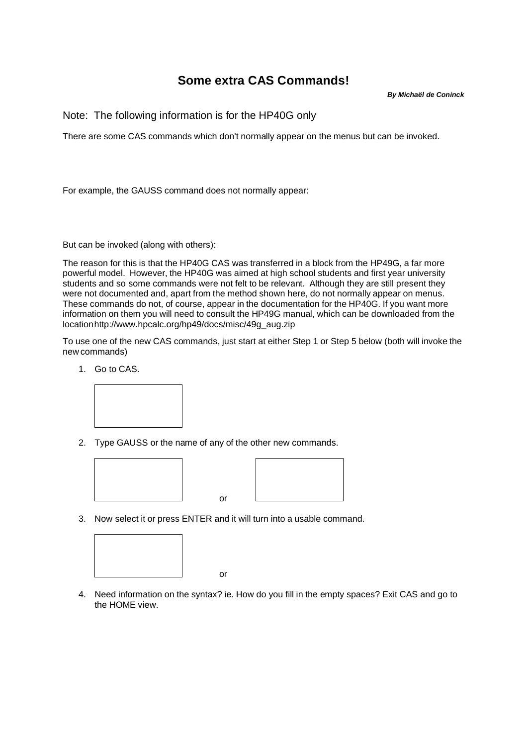## **Some extra CAS Commands!**

*By Michaël de Coninck*

Note: The following information is for the HP40G only

There are some CAS commands which don't normally appear on the menus but can be invoked.

For example, the GAUSS command does not normally appear:

But can be invoked (along with others):

The reason for this is that the HP40G CAS was transferred in a block from the HP49G, a far more powerful model. However, the HP40G was aimed at high school students and first year university students and so some commands were not felt to be relevant. Although they are still present they were not documented and, apart from the method shown here, do not normally appear on menus. These commands do not, of course, appear in the documentation for the HP40G. If you want more information on them you will need to consult the HP49G manual, which can be downloaded from the location http://www.hpcalc.org/hp49/docs/misc/49g\_aug.zip

To use one of the new CAS commands, just start at either Step 1 or Step 5 below (both will invoke the new commands)

1. Go to CAS.



2. Type GAUSS or the name of any of the other new commands.



3. Now select it or press ENTER and it will turn into a usable command.

or





4. Need information on the syntax? ie. How do you fill in the empty spaces? Exit CAS and go to the HOME view.